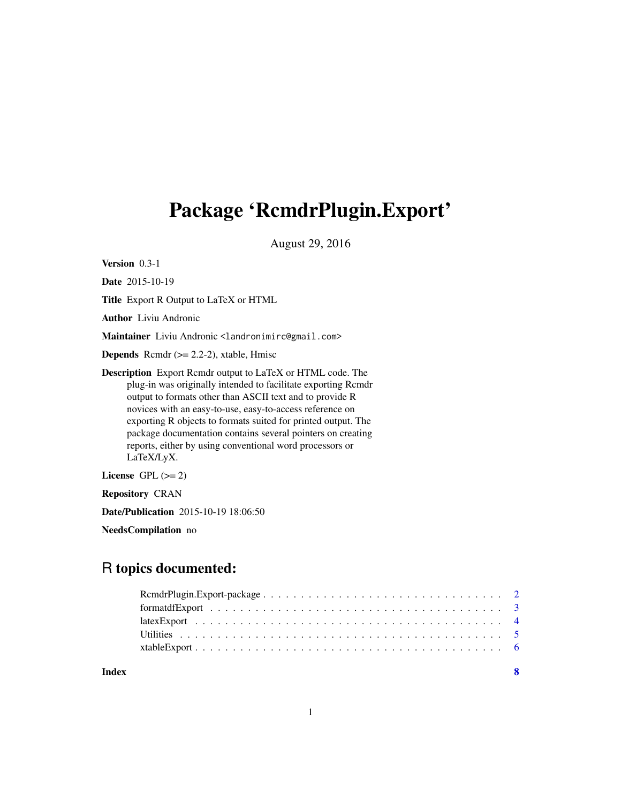# <span id="page-0-0"></span>Package 'RcmdrPlugin.Export'

August 29, 2016

Version 0.3-1

Date 2015-10-19

Title Export R Output to LaTeX or HTML

Author Liviu Andronic

Maintainer Liviu Andronic <landronimirc@gmail.com>

**Depends** Rcmdr  $(>= 2.2-2)$ , xtable, Hmisc

Description Export Rcmdr output to LaTeX or HTML code. The plug-in was originally intended to facilitate exporting Rcmdr output to formats other than ASCII text and to provide R novices with an easy-to-use, easy-to-access reference on exporting R objects to formats suited for printed output. The package documentation contains several pointers on creating reports, either by using conventional word processors or LaTeX/LyX.

License GPL  $(>= 2)$ 

Repository CRAN

Date/Publication 2015-10-19 18:06:50

NeedsCompilation no

# R topics documented:

| Index | - 8 |
|-------|-----|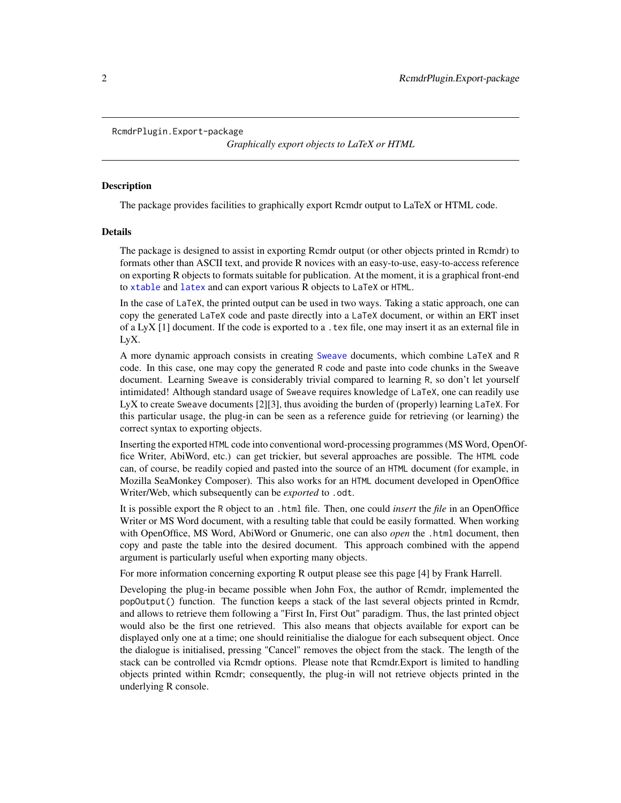<span id="page-1-0"></span>RcmdrPlugin.Export-package

*Graphically export objects to LaTeX or HTML*

#### **Description**

The package provides facilities to graphically export Rcmdr output to LaTeX or HTML code.

# Details

The package is designed to assist in exporting Rcmdr output (or other objects printed in Rcmdr) to formats other than ASCII text, and provide R novices with an easy-to-use, easy-to-access reference on exporting R objects to formats suitable for publication. At the moment, it is a graphical front-end to [xtable](#page-0-0) and [latex](#page-0-0) and can export various R objects to LaTeX or HTML.

In the case of LaTeX, the printed output can be used in two ways. Taking a static approach, one can copy the generated LaTeX code and paste directly into a LaTeX document, or within an ERT inset of a LyX  $[1]$  document. If the code is exported to a . tex file, one may insert it as an external file in LyX.

A more dynamic approach consists in creating [Sweave](#page-0-0) documents, which combine LaTeX and R code. In this case, one may copy the generated R code and paste into code chunks in the Sweave document. Learning Sweave is considerably trivial compared to learning R, so don't let yourself intimidated! Although standard usage of Sweave requires knowledge of LaTeX, one can readily use LyX to create Sweave documents [2][3], thus avoiding the burden of (properly) learning LaTeX. For this particular usage, the plug-in can be seen as a reference guide for retrieving (or learning) the correct syntax to exporting objects.

Inserting the exported HTML code into conventional word-processing programmes (MS Word, OpenOffice Writer, AbiWord, etc.) can get trickier, but several approaches are possible. The HTML code can, of course, be readily copied and pasted into the source of an HTML document (for example, in Mozilla SeaMonkey Composer). This also works for an HTML document developed in OpenOffice Writer/Web, which subsequently can be *exported* to .odt.

It is possible export the R object to an .html file. Then, one could *insert* the *file* in an OpenOffice Writer or MS Word document, with a resulting table that could be easily formatted. When working with OpenOffice, MS Word, AbiWord or Gnumeric, one can also *open* the .html document, then copy and paste the table into the desired document. This approach combined with the append argument is particularly useful when exporting many objects.

For more information concerning exporting R output please see this page [4] by Frank Harrell.

Developing the plug-in became possible when John Fox, the author of Rcmdr, implemented the popOutput() function. The function keeps a stack of the last several objects printed in Rcmdr, and allows to retrieve them following a "First In, First Out" paradigm. Thus, the last printed object would also be the first one retrieved. This also means that objects available for export can be displayed only one at a time; one should reinitialise the dialogue for each subsequent object. Once the dialogue is initialised, pressing "Cancel" removes the object from the stack. The length of the stack can be controlled via Rcmdr options. Please note that Rcmdr.Export is limited to handling objects printed within Rcmdr; consequently, the plug-in will not retrieve objects printed in the underlying R console.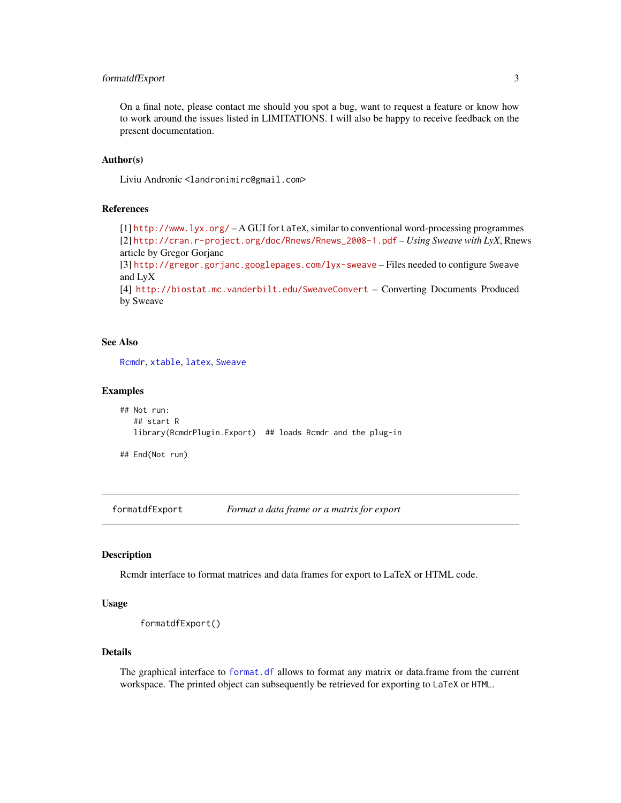# <span id="page-2-0"></span>formatdfExport 3

On a final note, please contact me should you spot a bug, want to request a feature or know how to work around the issues listed in LIMITATIONS. I will also be happy to receive feedback on the present documentation.

# Author(s)

Liviu Andronic <landronimirc@gmail.com>

# References

[1] <http://www.lyx.org/> – A GUI for LaTeX, similar to conventional word-processing programmes [2] [http://cran.r-project.org/doc/Rnews/Rnews\\_2008-1.pdf](http://cran.r-project.org/doc/Rnews/Rnews_2008-1.pdf) – *Using Sweave with LyX*, Rnews article by Gregor Gorjanc [3] <http://gregor.gorjanc.googlepages.com/lyx-sweave> – Files needed to configure Sweave and LyX

[4] <http://biostat.mc.vanderbilt.edu/SweaveConvert> – Converting Documents Produced by Sweave

#### See Also

[Rcmdr](#page-0-0), [xtable](#page-0-0), [latex](#page-0-0), [Sweave](#page-0-0)

#### Examples

```
## Not run:
## start R
library(RcmdrPlugin.Export) ## loads Rcmdr and the plug-in
```
## End(Not run)

formatdfExport *Format a data frame or a matrix for export*

# Description

Rcmdr interface to format matrices and data frames for export to LaTeX or HTML code.

# Usage

```
formatdfExport()
```
# Details

The graphical interface to [format.df](#page-0-0) allows to format any matrix or data.frame from the current workspace. The printed object can subsequently be retrieved for exporting to LaTeX or HTML.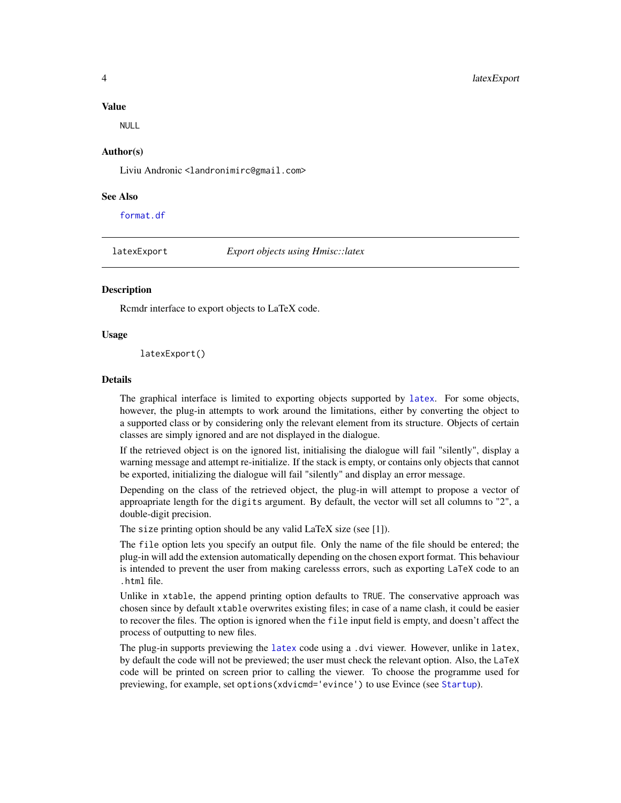#### Value

NULL

#### Author(s)

Liviu Andronic <landronimirc@gmail.com>

#### See Also

[format.df](#page-0-0)

latexExport *Export objects using Hmisc::latex*

# **Description**

Rcmdr interface to export objects to LaTeX code.

# Usage

latexExport()

#### Details

The graphical interface is limited to exporting objects supported by [latex](#page-0-0). For some objects, however, the plug-in attempts to work around the limitations, either by converting the object to a supported class or by considering only the relevant element from its structure. Objects of certain classes are simply ignored and are not displayed in the dialogue.

If the retrieved object is on the ignored list, initialising the dialogue will fail "silently", display a warning message and attempt re-initialize. If the stack is empty, or contains only objects that cannot be exported, initializing the dialogue will fail "silently" and display an error message.

Depending on the class of the retrieved object, the plug-in will attempt to propose a vector of approapriate length for the digits argument. By default, the vector will set all columns to "2", a double-digit precision.

The size printing option should be any valid LaTeX size (see [1]).

The file option lets you specify an output file. Only the name of the file should be entered; the plug-in will add the extension automatically depending on the chosen export format. This behaviour is intended to prevent the user from making carelesss errors, such as exporting LaTeX code to an .html file.

Unlike in xtable, the append printing option defaults to TRUE. The conservative approach was chosen since by default xtable overwrites existing files; in case of a name clash, it could be easier to recover the files. The option is ignored when the file input field is empty, and doesn't affect the process of outputting to new files.

The plug-in supports previewing the [latex](#page-0-0) code using a .dvi viewer. However, unlike in latex, by default the code will not be previewed; the user must check the relevant option. Also, the LaTeX code will be printed on screen prior to calling the viewer. To choose the programme used for previewing, for example, set options(xdvicmd='evince') to use Evince (see [Startup](#page-0-0)).

<span id="page-3-0"></span>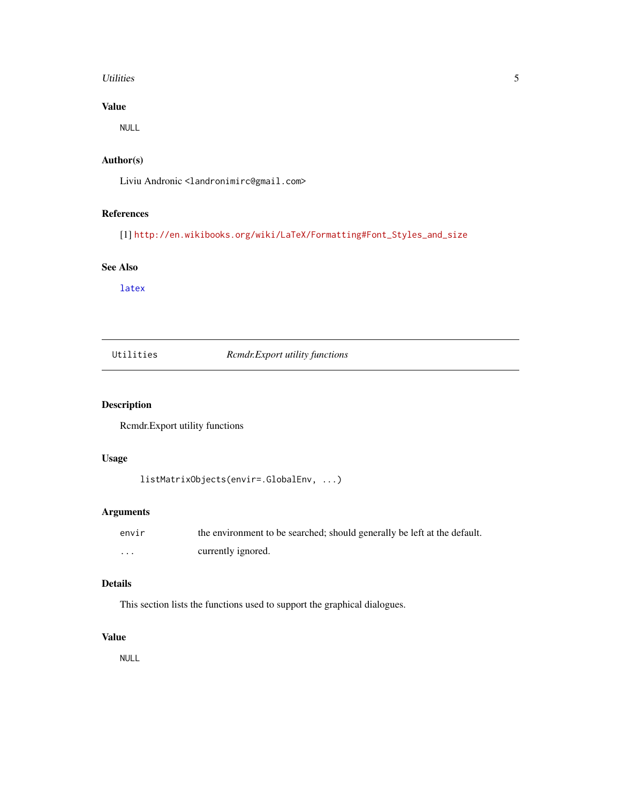#### <span id="page-4-0"></span>Utilities 5

# Value

NULL

# Author(s)

Liviu Andronic <landronimirc@gmail.com>

# References

[1] [http://en.wikibooks.org/wiki/LaTeX/Formatting#Font\\_Styles\\_and\\_size](http://en.wikibooks.org/wiki/LaTeX/Formatting#Font_Styles_and_size)

# See Also

[latex](#page-0-0)

| Utilities |  |
|-----------|--|

 $Rcmdr. Export utility functions$ 

# Description

Rcmdr.Export utility functions

# Usage

```
listMatrixObjects(envir=.GlobalEnv, ...)
```
# Arguments

| envir | the environment to be searched; should generally be left at the default. |
|-------|--------------------------------------------------------------------------|
| .     | currently ignored.                                                       |

# Details

This section lists the functions used to support the graphical dialogues.

# Value

NULL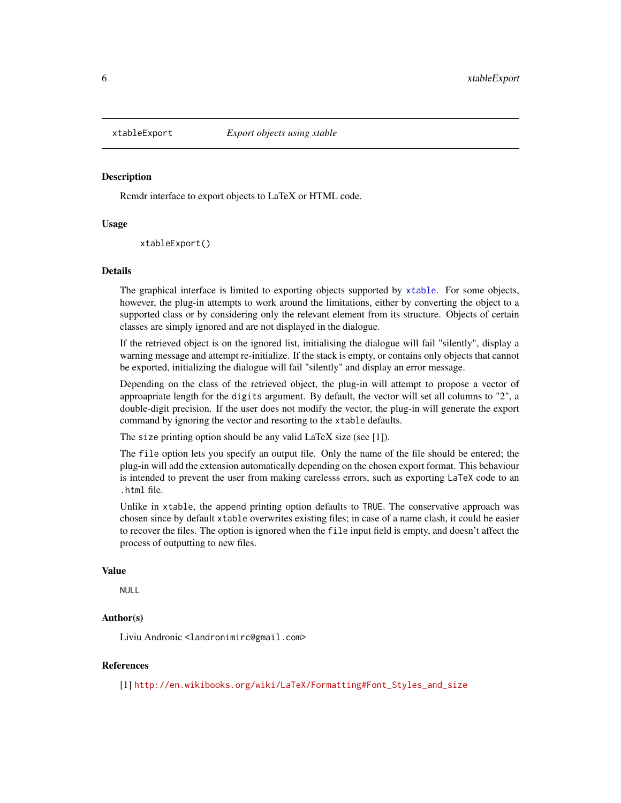<span id="page-5-0"></span>

# Description

Rcmdr interface to export objects to LaTeX or HTML code.

### Usage

xtableExport()

#### Details

The graphical interface is limited to exporting objects supported by [xtable](#page-0-0). For some objects, however, the plug-in attempts to work around the limitations, either by converting the object to a supported class or by considering only the relevant element from its structure. Objects of certain classes are simply ignored and are not displayed in the dialogue.

If the retrieved object is on the ignored list, initialising the dialogue will fail "silently", display a warning message and attempt re-initialize. If the stack is empty, or contains only objects that cannot be exported, initializing the dialogue will fail "silently" and display an error message.

Depending on the class of the retrieved object, the plug-in will attempt to propose a vector of approapriate length for the digits argument. By default, the vector will set all columns to "2", a double-digit precision. If the user does not modify the vector, the plug-in will generate the export command by ignoring the vector and resorting to the xtable defaults.

The size printing option should be any valid LaTeX size (see [1]).

The file option lets you specify an output file. Only the name of the file should be entered; the plug-in will add the extension automatically depending on the chosen export format. This behaviour is intended to prevent the user from making carelesss errors, such as exporting LaTeX code to an .html file.

Unlike in xtable, the append printing option defaults to TRUE. The conservative approach was chosen since by default xtable overwrites existing files; in case of a name clash, it could be easier to recover the files. The option is ignored when the file input field is empty, and doesn't affect the process of outputting to new files.

#### Value

NULL.

# Author(s)

Liviu Andronic <landronimirc@gmail.com>

# References

[1] [http://en.wikibooks.org/wiki/LaTeX/Formatting#Font\\_Styles\\_and\\_size](http://en.wikibooks.org/wiki/LaTeX/Formatting#Font_Styles_and_size)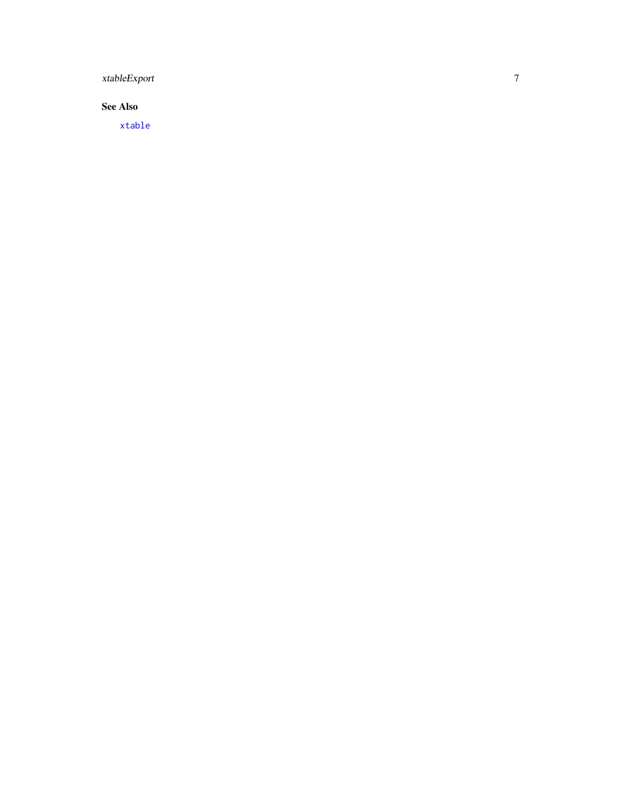<span id="page-6-0"></span>xtableExport

# See Also

[xtable](#page-0-0)